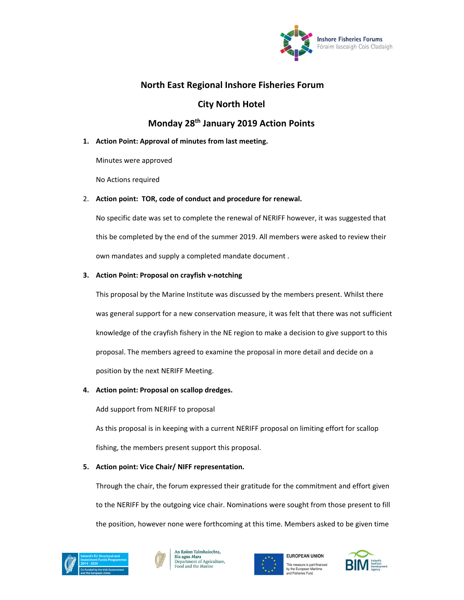

# **North East Regional Inshore Fisheries Forum**

## **City North Hotel**

# **Monday 28th January 2019 Action Points**

## **1. Action Point: Approval of minutes from last meeting.**

Minutes were approved

No Actions required

#### 2. **Action point: TOR, code of conduct and procedure for renewal.**

No specific date was set to complete the renewal of NERIFF however, it was suggested that this be completed by the end of the summer 2019. All members were asked to review their own mandates and supply a completed mandate document .

### **3. Action Point: Proposal on crayfish v‐notching**

This proposal by the Marine Institute was discussed by the members present. Whilst there was general support for a new conservation measure, it was felt that there was not sufficient knowledge of the crayfish fishery in the NE region to make a decision to give support to this proposal. The members agreed to examine the proposal in more detail and decide on a position by the next NERIFF Meeting.

### **4. Action point: Proposal on scallop dredges.**

Add support from NERIFF to proposal

As this proposal is in keeping with a current NERIFF proposal on limiting effort for scallop fishing, the members present support this proposal.

### **5. Action point: Vice Chair/ NIFF representation.**

Through the chair, the forum expressed their gratitude for the commitment and effort given to the NERIFF by the outgoing vice chair. Nominations were sought from those present to fill the position, however none were forthcoming at this time. Members asked to be given time







**EUROPEAN UNION** This measure is part-financed